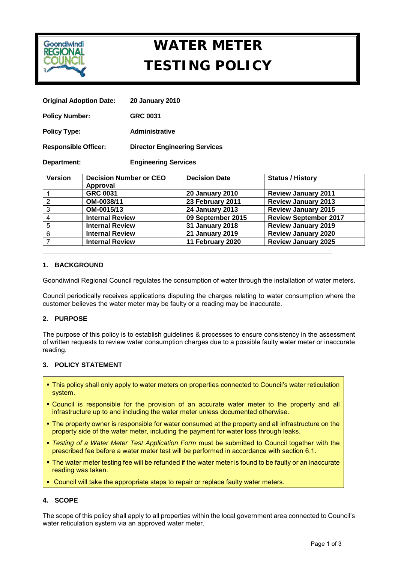

# **WATER METER TESTING POLICY**

| <b>Original Adoption Date:</b> | <b>20 January 2010</b>               |  |
|--------------------------------|--------------------------------------|--|
| <b>Policy Number:</b>          | <b>GRC 0031</b>                      |  |
| <b>Policy Type:</b>            | <b>Administrative</b>                |  |
| <b>Responsible Officer:</b>    | <b>Director Engineering Services</b> |  |
| Department:                    | <b>Engineering Services</b>          |  |

| <b>Version</b> | <b>Decision Number or CEO</b> | <b>Decision Date</b>   | <b>Status / History</b>      |
|----------------|-------------------------------|------------------------|------------------------------|
|                | Approval                      |                        |                              |
|                | <b>GRC 0031</b>               | <b>20 January 2010</b> | <b>Review January 2011</b>   |
| 2              | OM-0038/11                    | 23 February 2011       | <b>Review January 2013</b>   |
| 3              | OM-0015/13                    | <b>24 January 2013</b> | <b>Review January 2015</b>   |
| 4              | <b>Internal Review</b>        | 09 September 2015      | <b>Review September 2017</b> |
| 5              | <b>Internal Review</b>        | <b>31 January 2018</b> | <b>Review January 2019</b>   |
| 6              | <b>Internal Review</b>        | <b>21 January 2019</b> | <b>Review January 2020</b>   |
|                | <b>Internal Review</b>        | 11 February 2020       | <b>Review January 2025</b>   |

# **1. BACKGROUND**

Goondiwindi Regional Council regulates the consumption of water through the installation of water meters.

Council periodically receives applications disputing the charges relating to water consumption where the customer believes the water meter may be faulty or a reading may be inaccurate.

# **2. PURPOSE**

The purpose of this policy is to establish guidelines & processes to ensure consistency in the assessment of written requests to review water consumption charges due to a possible faulty water meter or inaccurate reading.

# **3. POLICY STATEMENT**

- This policy shall only apply to water meters on properties connected to Council's water reticulation system.
- Council is responsible for the provision of an accurate water meter to the property and all infrastructure up to and including the water meter unless documented otherwise.
- The property owner is responsible for water consumed at the property and all infrastructure on the property side of the water meter, including the payment for water loss through leaks.
- *Testing of a Water Meter Test Application Form* must be submitted to Council together with the prescribed fee before a water meter test will be performed in accordance with section 6.1.
- The water meter testing fee will be refunded if the water meter is found to be faulty or an inaccurate reading was taken.
- Council will take the appropriate steps to repair or replace faulty water meters.

# **4. SCOPE**

The scope of this policy shall apply to all properties within the local government area connected to Council's water reticulation system via an approved water meter.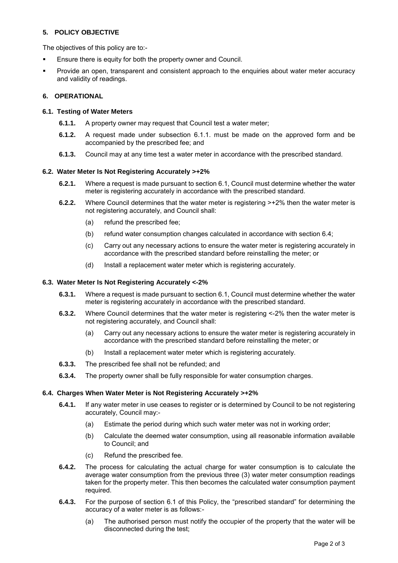# **5. POLICY OBJECTIVE**

The objectives of this policy are to:-

- **Ensure there is equity for both the property owner and Council.**
- Provide an open, transparent and consistent approach to the enquiries about water meter accuracy and validity of readings.

## **6. OPERATIONAL**

#### **6.1. Testing of Water Meters**

- **6.1.1.** A property owner may request that Council test a water meter;
- **6.1.2.** A request made under subsection 6.1.1. must be made on the approved form and be accompanied by the prescribed fee; and
- **6.1.3.** Council may at any time test a water meter in accordance with the prescribed standard.

#### **6.2. Water Meter Is Not Registering Accurately >+2%**

- **6.2.1.** Where a request is made pursuant to section 6.1, Council must determine whether the water meter is registering accurately in accordance with the prescribed standard.
- **6.2.2.** Where Council determines that the water meter is registering >+2% then the water meter is not registering accurately, and Council shall:
	- (a) refund the prescribed fee;
	- (b) refund water consumption changes calculated in accordance with section 6.4;
	- (c) Carry out any necessary actions to ensure the water meter is registering accurately in accordance with the prescribed standard before reinstalling the meter; or
	- (d) Install a replacement water meter which is registering accurately.

#### **6.3. Water Meter Is Not Registering Accurately <-2%**

- **6.3.1.** Where a request is made pursuant to section 6.1, Council must determine whether the water meter is registering accurately in accordance with the prescribed standard.
- **6.3.2.** Where Council determines that the water meter is registering <-2% then the water meter is not registering accurately, and Council shall:
	- (a) Carry out any necessary actions to ensure the water meter is registering accurately in accordance with the prescribed standard before reinstalling the meter; or
	- (b) Install a replacement water meter which is registering accurately.
- **6.3.3.** The prescribed fee shall not be refunded; and
- **6.3.4.** The property owner shall be fully responsible for water consumption charges.

#### **6.4. Charges When Water Meter is Not Registering Accurately >+2%**

- **6.4.1.** If any water meter in use ceases to register or is determined by Council to be not registering accurately, Council may:-
	- (a) Estimate the period during which such water meter was not in working order;
	- (b) Calculate the deemed water consumption, using all reasonable information available to Council; and
	- (c) Refund the prescribed fee.
- **6.4.2.** The process for calculating the actual charge for water consumption is to calculate the average water consumption from the previous three (3) water meter consumption readings taken for the property meter. This then becomes the calculated water consumption payment required.
- **6.4.3.** For the purpose of section 6.1 of this Policy, the "prescribed standard" for determining the accuracy of a water meter is as follows:-
	- (a) The authorised person must notify the occupier of the property that the water will be disconnected during the test;